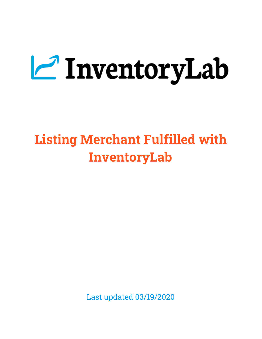# **Z** InventoryLab

# **Listing Merchant Fulfilled with InventoryLab**

Last updated 03/19/2020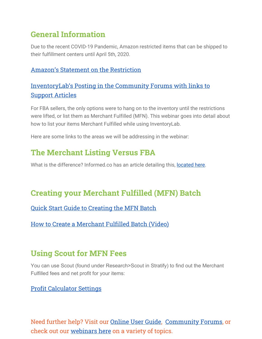# **General Information**

Due to the recent COVID-19 Pandemic, Amazon restricted items that can be shipped to their fulfillment centers until April 5th, 2020.

#### Amazon's Statement on the [Restriction](https://sellercentral.amazon.com/gp/help/help.html?itemID=GF37V7QBB8WSVF43&)

#### [InventoryLab's](https://support.inventorylab.com/hc/en-us/community/posts/360040597834-Temporary-change-in-FBA-policy-due-to-COVID-19) Posting in the Community Forums with links to [Support](https://support.inventorylab.com/hc/en-us/community/posts/360040597834-Temporary-change-in-FBA-policy-due-to-COVID-19) Articles

For FBA sellers, the only options were to hang on to the inventory until the restrictions were lifted, or list them as Merchant Fulfilled (MFN). This webinar goes into detail about how to list your items Merchant Fulfilled while using InventoryLab.

Here are some links to the areas we will be addressing in the webinar:

# **The Merchant Listing Versus FBA**

What is the difference? Informed.co has an article detailing this, [located here](https://www.informed.co/resources/fba-vs-mfn-which-fulfillment-option-is-better).

# **Creating your Merchant Fulfilled (MFN) Batch**

Quick Start Guide to [Creating](https://support.inventorylab.com/hc/en-us/articles/360044751834) the MFN Batch

How to Create a [Merchant](https://support.inventorylab.com/hc/en-us/articles/360011456254-How-to-Create-a-New-Batch-for-Listing-Merchant-Fulfilled-Inventory-Video-) Fulfilled Batch (Video)

# **Using Scout for MFN Fees**

You can use Scout (found under Research>Scout in Stratify) to find out the Merchant Fulfilled fees and net profit for your items:

#### Profit [Calculator](https://support.inventorylab.com/hc/en-us/articles/360000060473-Scout#h_a0ed1b5a-2c98-425e-941d-8822989f86a8) Settings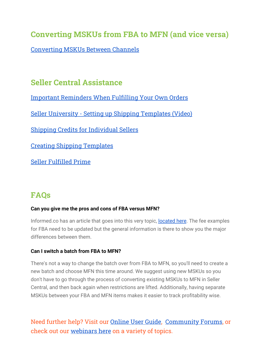# **Converting MSKUs from FBA to MFN (and vice versa)**

[Converting](https://support.inventorylab.com/hc/en-us/articles/115004979054-Converting-MSKUs-Between-Channels) MSKUs Between Channels

# **Seller Central Assistance**

Important [Reminders](https://sellercentral.amazon.com/gp/headlines.html?ref=nswg_scgw_9007200511085688098_1_nslp&id=9007200511085688098#9007200511085688098) When Fulfilling Your Own Orders Seller University - Setting up Shipping [Templates](https://sellercentral.amazon.com/learn/courses?ref_=su_course_accordion&moduleId=3&courseId=9&modLanguage=English&videoPlayer=youtube) (Video) Shipping Credits for [Individual](https://sellercentral.amazon.com/gp/help/help.html?itemID=201051980) Sellers Creating Shipping [Templates](https://sellercentral.amazon.com/gp/help/help.html?itemID=201834090&language=en_US&ref=efph_201834090_cont_G201841600) Seller [Fulfilled](https://sellercentral.amazon.com/gp/help/G201812230) Prime

# **FAQs**

#### **Can you give me the pros and cons of FBA versus MFN?**

Informed.co has an article that goes into this very topic, **located here**. The fee examples for FBA need to be updated but the general information is there to show you the major differences between them.

#### **Can I switch a batch from FBA to MFN?**

There's not a way to change the batch over from FBA to MFN, so you'll need to create a new batch and choose MFN this time around. We suggest using new MSKUs so you don't have to go through the process of converting existing MSKUs to MFN in Seller Central, and then back again when restrictions are lifted. Additionally, having separate MSKUs between your FBA and MFN items makes it easier to track profitability wise.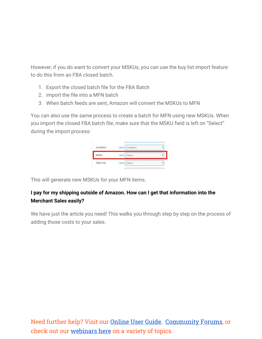However, if you do want to convert your MSKUs, you can use the buy list import feature to do this from an FBA closed batch.

- 1. Export the closed batch file for the FBA Batch
- 2. import the file into a MFN batch
- 3. When batch feeds are sent, Amazon will convert the MSKUs to MFN

You can also use the same process to create a batch for MFN using new MSKUs. When you import the closed FBA batch file, make sure that the MSKU field is left on "Select" during the import process:



This will generate new MSKUs for your MFN items.

#### **I pay for my shipping outside of Amazon. How can I get that information into the Merchant Sales easily?**

We have just the article you need! This walks you through step by step on the process of adding those costs to your sales.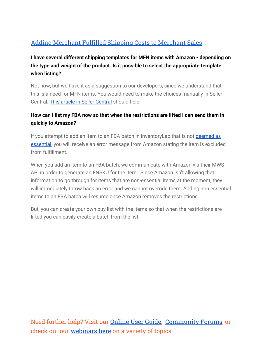## Adding [Merchant](https://support.inventorylab.com/hc/en-us/articles/360044774094-Add-Merchant-Fulfillment-Shipping-Costs-to-Merchant-Sales) Fulfilled Shipping Costs to Merchant Sales

#### **I have several different shipping templates for MFN items with Amazon - depending on the type and weight of the product. Is it possible to select the appropriate template when listing?**

Not now, but we have it as a suggestion to our developers, since we understand that this is a need for MFN items. You would need to make the choices manually in Seller Central. [This article in Seller Central](https://sellercentral.amazon.com/gp/help/G201841600) should help.

#### **How can I list my FBA now so that when the restrictions are lifted I can send them in quickly to Amazon?**

If you attempt to add an item to an FBA batch in InventoryLab that is not [deemed as](https://sellercentral.amazon.com/gp/help/GF37V7QBB8WSVF43) [essential,](https://sellercentral.amazon.com/gp/help/GF37V7QBB8WSVF43) you will receive an error message from Amazon stating the item is excluded from fulfillment.

When you add an item to an FBA batch, we communicate with Amazon via their MWS API in order to generate an FNSKU for the item. Since Amazon isn't allowing that information to go through for items that are non-essential items at the moment, they will immediately throw back an error and we cannot override them. Adding non essential items to an FBA batch will resume once Amazon removes the restrictions.

But, you can create your own buy list with the items so that when the restrictions are lifted you can easily create a batch from the list.